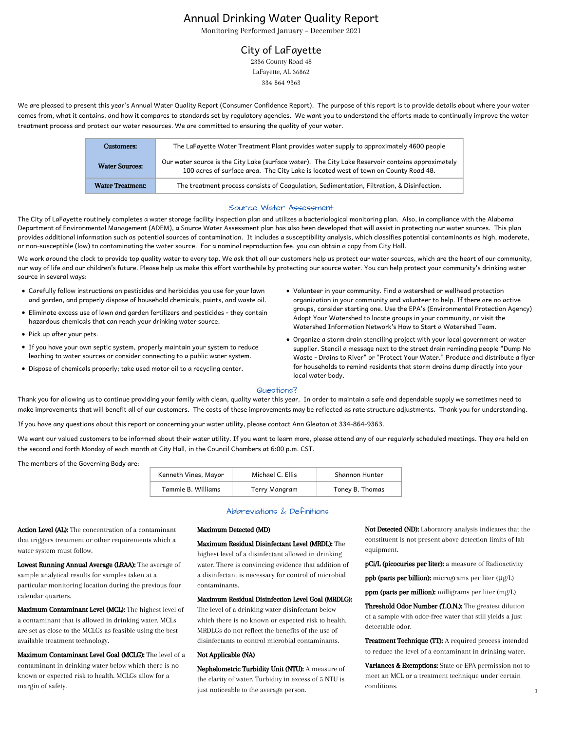# Annual Drinking Water Quality Report

Monitoring Performed January – December 2021

## City of LaFayette

2336 County Road 48 LaFayette, AL 36862 334-864-9363

We are pleased to present this year's Annual Water Quality Report (Consumer Confidence Report). The purpose of this report is to provide details about where your water comes from, what it contains, and how it compares to standards set by regulatory agencies. We want you to understand the efforts made to continually improve the water treatment process and protect our water resources. We are committed to ensuring the quality of your water.

| <b>Customers:</b>       | The LaFayette Water Treatment Plant provides water supply to approximately 4600 people                                                                                                   |
|-------------------------|------------------------------------------------------------------------------------------------------------------------------------------------------------------------------------------|
| <b>Water Sources:</b>   | Our water source is the City Lake (surface water). The City Lake Reservoir contains approximately<br>100 acres of surface area. The City Lake is located west of town on County Road 48. |
| <b>Water Treatment:</b> | The treatment process consists of Coagulation, Sedimentation, Filtration, & Disinfection.                                                                                                |

#### Source Water Assessment

The City of LaFayette routinely completes a water storage facility inspection plan and utilizes a bacteriological monitoring plan. Also, in compliance with the Alabama Department of Environmental Management (ADEM), a Source Water Assessment plan has also been developed that will assist in protecting our water sources. This plan provides additional information such as potential sources of contamination. It includes a susceptibility analysis, which classifies potential contaminants as high, moderate, or non-susceptible (low) to contaminating the water source. For a nominal reproduction fee, you can obtain a copy from City Hall.

We work around the clock to provide top quality water to every tap. We ask that all our customers help us protect our water sources, which are the heart of our community, our way of life and our children's future. Please help us make this effort worthwhile by protecting our source water. You can help protect your community's drinking water source in several ways:

- Carefully follow instructions on pesticides and herbicides you use for your lawn and garden, and properly dispose of household chemicals, paints, and waste oil.
- Eliminate excess use of lawn and garden fertilizers and pesticides they contain hazardous chemicals that can reach your drinking water source.
- Pick up after your pets.
- If you have your own septic system, properly maintain your system to reduce leaching to water sources or consider connecting to a public water system.
- Dispose of chemicals properly; take used motor oil to a recycling center.
- Volunteer in your community. Find a watershed or wellhead protection organization in your community and volunteer to help. If there are no active groups, consider starting one. Use the EPA's (Environmental Protection Agency) Adopt Your Watershed to locate groups in your community, or visit the Watershed Information Network's How to Start a Watershed Team.
- Organize a storm drain stenciling project with your local government or water supplier. Stencil a message next to the street drain reminding people "Dump No Waste - Drains to River" or "Protect Your Water." Produce and distribute a flyer for households to remind residents that storm drains dump directly into your local water body.

#### Questions?

Thank you for allowing us to continue providing your family with clean, quality water this year. In order to maintain a safe and dependable supply we sometimes need to make improvements that will benefit all of our customers. The costs of these improvements may be reflected as rate structure adjustments. Thank you for understanding.

If you have any questions about this report or concerning your water utility, please contact Ann Gleaton at 334-864-9363.

We want our valued customers to be informed about their water utility. If you want to learn more, please attend any of our regularly scheduled meetings. They are held on the second and forth Monday of each month at City Hall, in the Council Chambers at 6:00 p.m. CST.

The members of the Governing Body are:

| Kenneth Vines, Mayor | Michael C. Ellis | Shannon Hunter  |
|----------------------|------------------|-----------------|
| Tammie B. Williams   | Terry Mangram    | Toney B. Thomas |

## Abbreviations & Definitions

Action Level (AL): The concentration of a contaminant that triggers treatment or other requirements which a water system must follow.

Lowest Running Annual Average (LRAA): The average of sample analytical results for samples taken at a particular monitoring location during the previous four calendar quarters.

Maximum Contaminant Level (MCL): The highest level of a contaminant that is allowed in drinking water. MCLs are set as close to the MCLGs as feasible using the best available treatment technology.

Maximum Contaminant Level Goal (MCLG): The level of a contaminant in drinking water below which there is no known or expected risk to health. MCLGs allow for a margin of safety.

#### Maximum Detected (MD)

Maximum Residual Disinfectant Level (MRDL): The highest level of a disinfectant allowed in drinking water. There is convincing evidence that addition of a disinfectant is necessary for control of microbial contaminants.

#### Maximum Residual Disinfection Level Goal (MRDLG):

The level of a drinking water disinfectant below which there is no known or expected risk to health. MRDLGs do not reflect the benefits of the use of disinfectants to control microbial contaminants.

#### Not Applicable (NA)

Nephelometric Turbidity Unit (NTU): A measure of the clarity of water. Turbidity in excess of 5 NTU is just noticeable to the average person.

Not Detected (ND): Laboratory analysis indicates that the constituent is not present above detection limits of lab equipment.

pCi/L (picocuries per liter): a measure of Radioactivity

ppb (parts per billion): micrograms per liter (μg/L)

ppm (parts per million): milligrams per liter (mg/L)

Threshold Odor Number (T.O.N.): The greatest dilution of a sample with odor-free water that still yields a just detectable odor.

Treatment Technique (TT): A required process intended to reduce the level of a contaminant in drinking water.

Variances & Exemptions: State or EPA permission not to meet an MCL or a treatment technique under certain conditions.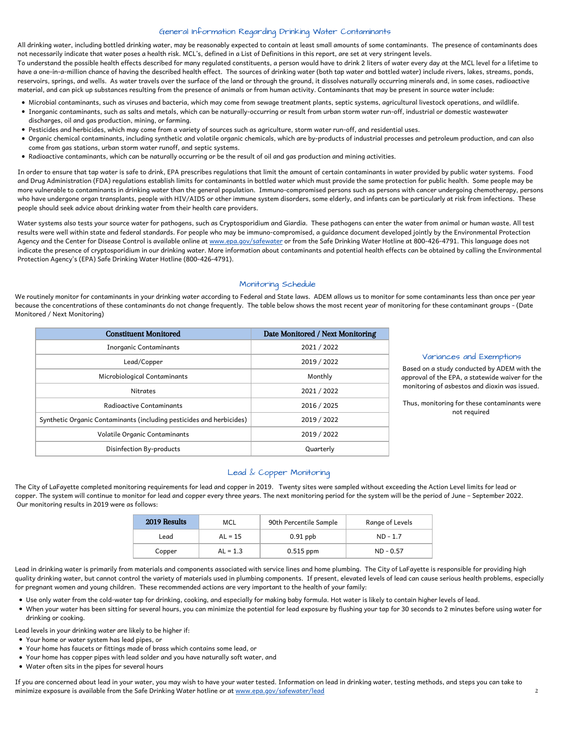## General Information Regarding Drinking Water Contaminants

All drinking water, including bottled drinking water, may be reasonably expected to contain at least small amounts of some contaminants. The presence of contaminants does<br>not necessarily indicate that water poses a health

To understand the possible health effects described for many requlated constituents, a person would have to drink 2 liters of water every day at the MCL level for a lifetime to have a one-in-a-million chance of having the described health effect. The sources of drinking water (both tap water and bottled water) include rivers, lakes, streams, ponds, reservoirs, springs, and wells. As water travels over the surface of the land or through the ground, it dissolves naturally occurring minerals and, in some cases, radioactive material, and can pick up substances resulting from the presence of animals or from human activity. Contaminants that may be present in source water include:

- Microbial contaminants, such as viruses and bacteria, which may come from sewage treatment plants, septic systems, agricultural livestock operations, and wildlife.
- Inorganic contaminants, such as salts and metals, which can be naturally-occurring or result from urban storm water run-off, industrial or domestic wastewater discharges, oil and gas production, mining, or farming.
- Pesticides and herbicides, which may come from a variety of sources such as agriculture, storm water run-off, and residential uses.
- Organic chemical contaminants, including synthetic and volatile organic chemicals, which are by-products of industrial processes and petroleum production, and can also come from gas stations, urban storm water runoff, and septic systems.
- Radioactive contaminants, which can be naturally occurring or be the result of oil and gas production and mining activities.

In order to ensure that tap water is safe to drink, EPA prescribes regulations that limit the amount of certain contaminants in water provided by public water systems. Food and Drug Administration (FDA) regulations establish limits for contaminants in bottled water which must provide the same protection for public health. Some people may be more vulnerable to contaminants in drinking water than the general population. Immuno-compromised persons such as persons with cancer undergoing chemotherapy, persons who have undergone organ transplants, people with HIV/AIDS or other immune system disorders, some elderly, and infants can be particularly at risk from infections. These people should seek advice about drinking water from their health care providers.

Water systems also tests your source water for pathogens, such as Cryptosporidium and Giardia. These pathogens can enter the water from animal or human waste. All test results were well within state and federal standards. For people who may be immuno-compromised, a guidance document developed jointly by the Environmental Protection Agency and the Center for Disease Control is available online at www.epa.gov/safewater or from the Safe Drinking Water Hotline at 800-426-4791. This language does not indicate the presence of cryptosporidium in our drinking water. More information about contaminants and potential health effects can be obtained by calling the Environmental Protection Agency's (EPA) Safe Drinking Water Hotline (800-426-4791).

### Monitoring Schedule

We routinely monitor for contaminants in your drinking water according to Federal and State laws. ADEM allows us to monitor for some contaminants less than once per year because the concentrations of these contaminants do not change frequently. The table below shows the most recent year of monitoring for these contaminant groups - (Date Monitored / Next Monitoring)

| <b>Constituent Monitored</b>                                         | Date Monitored / Next Monitoring |
|----------------------------------------------------------------------|----------------------------------|
| <b>Inorganic Contaminants</b>                                        | 2021 / 2022                      |
| Lead/Copper                                                          | 2019 / 2022                      |
| Microbiological Contaminants                                         | Monthly                          |
| <b>Nitrates</b>                                                      | 2021 / 2022                      |
| Radioactive Contaminants                                             | 2016 / 2025                      |
| Synthetic Organic Contaminants (including pesticides and herbicides) | 2019 / 2022                      |
| Volatile Organic Contaminants                                        | 2019 / 2022                      |
| Disinfection By-products                                             | Quarterly                        |

#### Variances and Exemptions

Based on a study conducted by ADEM with the approval of the EPA, a statewide waiver for the monitoring of asbestos and dioxin was issued.

Thus, monitoring for these contaminants were not required

## Lead & Copper Monitoring

The City of LaFayette completed monitoring requirements for lead and copper in 2019. Twenty sites were sampled without exceeding the Action Level limits for lead or copper. The system will continue to monitor for lead and copper every three years. The next monitoring period for the system will be the period of June – September 2022. Our monitoring results in 2019 were as follows:

| 2019 Results | MCL        | 90th Percentile Sample | Range of Levels |
|--------------|------------|------------------------|-----------------|
| Lead         | $AL = 15$  | $0.91$ ppb             | $ND - 1.7$      |
| Copper       | $AL = 1.3$ | $0.515$ ppm            | $ND - 0.57$     |

Lead in drinking water is primarily from materials and components associated with service lines and home plumbing. The City of LaFayette is responsible for providing high quality drinking water, but cannot control the variety of materials used in plumbing components. If present, elevated levels of lead can cause serious health problems, especially for pregnant women and young children. These recommended actions are very important to the health of your family:

- Use only water from the cold-water tap for drinking, cooking, and especially for making baby formula. Hot water is likely to contain higher levels of lead.
- When your water has been sitting for several hours, you can minimize the potential for lead exposure by flushing your tap for 30 seconds to 2 minutes before using water for drinking or cooking.

Lead levels in your drinking water are likely to be higher if:

- Your home or water system has lead pipes, or
- Your home has faucets or fittings made of brass which contains some lead, or
- Your home has copper pipes with lead solder and you have naturally soft water, and
- Water often sits in the pipes for several hours

If you are concerned about lead in your water, you may wish to have your water tested. Information on lead in drinking water, testing methods, and steps you can take to minimize exposure is available from the Safe Drinking Water hotline or at www.epa.gov/safewater/lead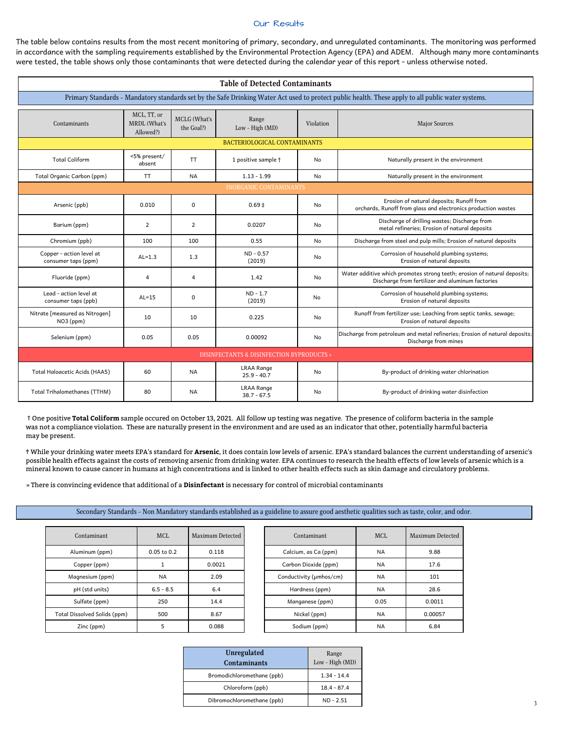#### Our Results

The table below contains results from the most recent monitoring of primary, secondary, and unregulated contaminants. The monitoring was performed in accordance with the sampling requirements established by the Environmental Protection Agency (EPA) and ADEM. Although many more contaminants were tested, the table shows only those contaminants that were detected during the calendar year of this report - unless otherwise noted.

| <b>Table of Detected Contaminants</b>                |                                                                                                                                                    |                            |                                    |           |                                                                                                                              |  |  |  |  |
|------------------------------------------------------|----------------------------------------------------------------------------------------------------------------------------------------------------|----------------------------|------------------------------------|-----------|------------------------------------------------------------------------------------------------------------------------------|--|--|--|--|
|                                                      | Primary Standards - Mandatory standards set by the Safe Drinking Water Act used to protect public health. These apply to all public water systems. |                            |                                    |           |                                                                                                                              |  |  |  |  |
| Contaminants                                         | MCL, TT, or<br>MRDL (What's<br>Allowed?)                                                                                                           | MCLG (What's<br>the Goal?) | Range<br>Low - High (MD)           | Violation | <b>Major Sources</b>                                                                                                         |  |  |  |  |
|                                                      |                                                                                                                                                    |                            | BACTERIOLOGICAL CONTAMINANTS       |           |                                                                                                                              |  |  |  |  |
| <b>Total Coliform</b>                                | <5% present/<br>absent                                                                                                                             | <b>TT</b>                  | 1 positive sample +                | <b>No</b> | Naturally present in the environment                                                                                         |  |  |  |  |
| Total Organic Carbon (ppm)                           | <b>TT</b>                                                                                                                                          | <b>NA</b>                  | $1.13 - 1.99$                      | No        | Naturally present in the environment                                                                                         |  |  |  |  |
|                                                      |                                                                                                                                                    |                            | <b>INORGANIC CONTAMINANTS</b>      |           |                                                                                                                              |  |  |  |  |
| Arsenic (ppb)                                        | 0.010                                                                                                                                              | $\mathbf 0$                | $0.69 \pm$                         | No        | Erosion of natural deposits; Runoff from<br>orchards, Runoff from glass and electronics production wastes                    |  |  |  |  |
| Barium (ppm)                                         | $\overline{2}$                                                                                                                                     | $\overline{2}$             | 0.0207                             | No        | Discharge of drilling wastes; Discharge from<br>metal refineries; Erosion of natural deposits                                |  |  |  |  |
| Chromium (ppb)                                       | 100                                                                                                                                                | 100                        | 0.55                               | No        | Discharge from steel and pulp mills; Erosion of natural deposits                                                             |  |  |  |  |
| Copper - action level at<br>consumer taps (ppm)      | $AL=1.3$                                                                                                                                           | 1.3                        | $ND - 0.57$<br>(2019)              | No        | Corrosion of household plumbing systems;<br>Erosion of natural deposits                                                      |  |  |  |  |
| Fluoride (ppm)                                       | $\overline{4}$                                                                                                                                     | $\overline{4}$             | 1.42                               | No        | Water additive which promotes strong teeth; erosion of natural deposits;<br>Discharge from fertilizer and aluminum factories |  |  |  |  |
| Lead - action level at<br>consumer taps (ppb)        | $AL=15$                                                                                                                                            | $\Omega$                   | $ND - 1.7$<br>(2019)               | No        | Corrosion of household plumbing systems;<br>Erosion of natural deposits                                                      |  |  |  |  |
| Nitrate [measured as Nitrogen]<br>NO3 (ppm)          | 10                                                                                                                                                 | 10                         | 0.225                              | <b>No</b> | Runoff from fertilizer use; Leaching from septic tanks, sewage;<br>Erosion of natural deposits                               |  |  |  |  |
| Selenium (ppm)                                       | 0.05                                                                                                                                               | 0.05                       | 0.00092                            | No        | Discharge from petroleum and metal refineries; Erosion of natural deposits;<br>Discharge from mines                          |  |  |  |  |
| <b>DISINFECTANTS &amp; DISINFECTION BYPRODUCTS »</b> |                                                                                                                                                    |                            |                                    |           |                                                                                                                              |  |  |  |  |
| Total Haloacetic Acids (HAA5)                        | 60                                                                                                                                                 | <b>NA</b>                  | <b>LRAA Range</b><br>$25.9 - 40.7$ | No        | By-product of drinking water chlorination                                                                                    |  |  |  |  |
| Total Trihalomethanes (TTHM)                         | 80                                                                                                                                                 | <b>NA</b>                  | <b>LRAA Range</b><br>$38.7 - 67.5$ | No        | By-product of drinking water disinfection                                                                                    |  |  |  |  |

† One positive **Total Coliform** sample occured on October 13, 2021. All follow up testing was negative. The presence of coliform bacteria in the sample was not a compliance violation. These are naturally present in the environment and are used as an indicator that other, potentially harmful bacteria may be present.

‡ While your drinking water meets EPA's standard for **Arsenic**, it does contain low levels of arsenic. EPA's standard balances the current understanding of arsenic's possible health effects against the costs of removing arsenic from drinking water. EPA continues to research the health effects of low levels of arsenic which is a mineral known to cause cancer in humans at high concentrations and is linked to other health effects such as skin damage and circulatory problems.

» There is convincing evidence that additional of a **Disinfectant** is necessary for control of microbial contaminants

#### Secondary Standards - Non Mandatory standards established as a guideline to assure good aesthetic qualities such as taste, color, and odor.

| Contaminant                  | <b>MCL</b>      | Maximum Detected | <b>Contaminant</b>      | <b>MCL</b> | Maximum Detected |
|------------------------------|-----------------|------------------|-------------------------|------------|------------------|
| Aluminum (ppm)               | $0.05$ to $0.2$ | 0.118            | Calcium, as Ca (ppm)    | <b>NA</b>  | 9.88             |
| Copper (ppm)                 |                 | 0.0021           | Carbon Dioxide (ppm)    | <b>NA</b>  | 17.6             |
| Magnesium (ppm)              | <b>NA</b>       | 2.09             | Conductivity (µmhos/cm) | <b>NA</b>  | 101              |
| pH (std units)               | $6.5 - 8.5$     | 6.4              | Hardness (ppm)          | <b>NA</b>  | 28.6             |
| Sulfate (ppm)                | 250             | 14.4             | Manganese (ppm)         | 0.05       | 0.0011           |
| Total Dissolved Solids (ppm) | 500             | 8.67             | Nickel (ppm)            | <b>NA</b>  | 0.00057          |
| Zinc (ppm)                   |                 | 0.088            | Sodium (ppm)            | <b>NA</b>  | 6.84             |

| Unregulated<br><b>Contaminants</b> | Range<br>Low - High (MD) |
|------------------------------------|--------------------------|
|                                    |                          |
| Bromodichloromethane (ppb)         | $1.34 - 14.4$            |
| Chloroform (ppb)                   | $18.4 - 87.4$            |
| Dibromochloromethane (ppb)         | $ND - 2.51$              |
|                                    |                          |